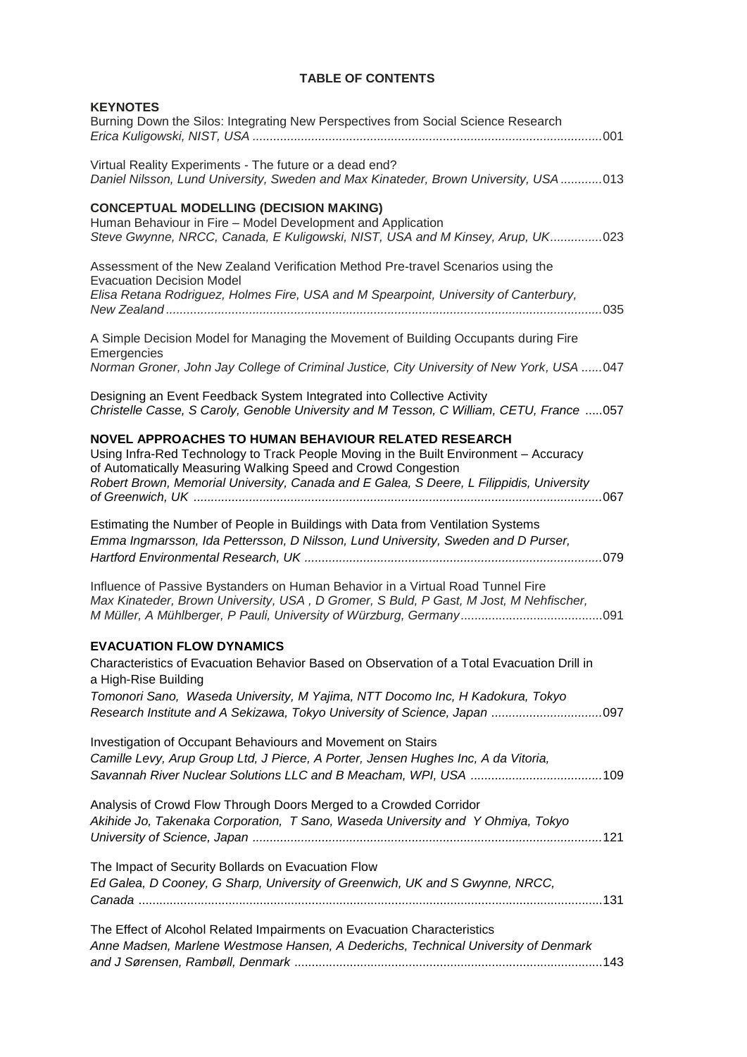## **TABLE OF CONTENTS**

| <b>KEYNOTES</b><br>Burning Down the Silos: Integrating New Perspectives from Social Science Research                                                                                                                                                                                                       |
|------------------------------------------------------------------------------------------------------------------------------------------------------------------------------------------------------------------------------------------------------------------------------------------------------------|
| Virtual Reality Experiments - The future or a dead end?<br>Daniel Nilsson, Lund University, Sweden and Max Kinateder, Brown University, USA 013                                                                                                                                                            |
| <b>CONCEPTUAL MODELLING (DECISION MAKING)</b><br>Human Behaviour in Fire - Model Development and Application<br>Steve Gwynne, NRCC, Canada, E Kuligowski, NIST, USA and M Kinsey, Arup, UK023                                                                                                              |
| Assessment of the New Zealand Verification Method Pre-travel Scenarios using the<br><b>Evacuation Decision Model</b><br>Elisa Retana Rodriguez, Holmes Fire, USA and M Spearpoint, University of Canterbury,                                                                                               |
| A Simple Decision Model for Managing the Movement of Building Occupants during Fire<br>Emergencies<br>Norman Groner, John Jay College of Criminal Justice, City University of New York, USA 047                                                                                                            |
| Designing an Event Feedback System Integrated into Collective Activity<br>Christelle Casse, S Caroly, Genoble University and M Tesson, C William, CETU, France 057                                                                                                                                         |
| NOVEL APPROACHES TO HUMAN BEHAVIOUR RELATED RESEARCH<br>Using Infra-Red Technology to Track People Moving in the Built Environment - Accuracy<br>of Automatically Measuring Walking Speed and Crowd Congestion<br>Robert Brown, Memorial University, Canada and E Galea, S Deere, L Filippidis, University |
| Estimating the Number of People in Buildings with Data from Ventilation Systems<br>Emma Ingmarsson, Ida Pettersson, D Nilsson, Lund University, Sweden and D Purser,                                                                                                                                       |
| Influence of Passive Bystanders on Human Behavior in a Virtual Road Tunnel Fire<br>Max Kinateder, Brown University, USA, D Gromer, S Buld, P Gast, M Jost, M Nehfischer,                                                                                                                                   |
| <b>EVACUATION FLOW DYNAMICS</b><br>Characteristics of Evacuation Behavior Based on Observation of a Total Evacuation Drill in<br>a High-Rise Building<br>Tomonori Sano, Waseda University, M Yajima, NTT Docomo Inc, H Kadokura, Tokyo                                                                     |
| Investigation of Occupant Behaviours and Movement on Stairs<br>Camille Levy, Arup Group Ltd, J Pierce, A Porter, Jensen Hughes Inc, A da Vitoria,                                                                                                                                                          |
| Analysis of Crowd Flow Through Doors Merged to a Crowded Corridor<br>Akihide Jo, Takenaka Corporation, T Sano, Waseda University and Y Ohmiya, Tokyo                                                                                                                                                       |
| The Impact of Security Bollards on Evacuation Flow<br>Ed Galea, D Cooney, G Sharp, University of Greenwich, UK and S Gwynne, NRCC,                                                                                                                                                                         |
| The Effect of Alcohol Related Impairments on Evacuation Characteristics<br>Anne Madsen, Marlene Westmose Hansen, A Dederichs, Technical University of Denmark                                                                                                                                              |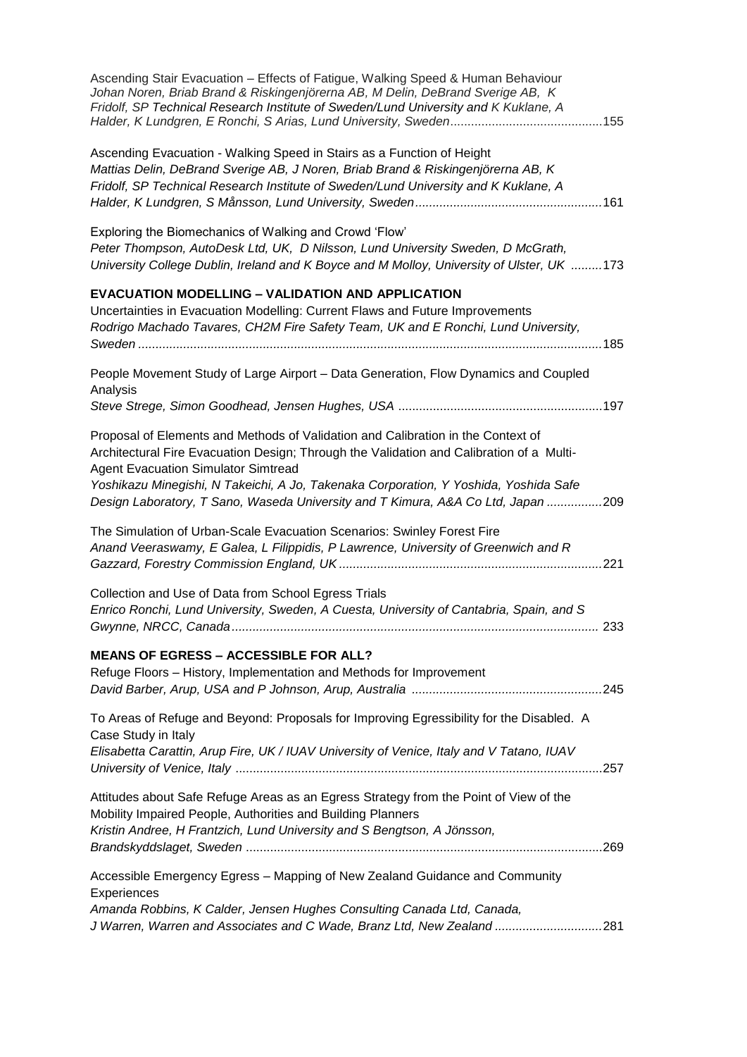| Ascending Stair Evacuation - Effects of Fatigue, Walking Speed & Human Behaviour<br>Johan Noren, Briab Brand & Riskingenjörerna AB, M Delin, DeBrand Sverige AB, K<br>Fridolf, SP Technical Research Institute of Sweden/Lund University and K Kuklane, A                                                                                                                                              |
|--------------------------------------------------------------------------------------------------------------------------------------------------------------------------------------------------------------------------------------------------------------------------------------------------------------------------------------------------------------------------------------------------------|
| Ascending Evacuation - Walking Speed in Stairs as a Function of Height<br>Mattias Delin, DeBrand Sverige AB, J Noren, Briab Brand & Riskingenjörerna AB, K<br>Fridolf, SP Technical Research Institute of Sweden/Lund University and K Kuklane, A                                                                                                                                                      |
| Exploring the Biomechanics of Walking and Crowd 'Flow'<br>Peter Thompson, AutoDesk Ltd, UK, D Nilsson, Lund University Sweden, D McGrath,<br>University College Dublin, Ireland and K Boyce and M Molloy, University of Ulster, UK 173                                                                                                                                                                 |
| <b>EVACUATION MODELLING - VALIDATION AND APPLICATION</b><br>Uncertainties in Evacuation Modelling: Current Flaws and Future Improvements<br>Rodrigo Machado Tavares, CH2M Fire Safety Team, UK and E Ronchi, Lund University,                                                                                                                                                                          |
| People Movement Study of Large Airport - Data Generation, Flow Dynamics and Coupled<br>Analysis                                                                                                                                                                                                                                                                                                        |
|                                                                                                                                                                                                                                                                                                                                                                                                        |
| Proposal of Elements and Methods of Validation and Calibration in the Context of<br>Architectural Fire Evacuation Design; Through the Validation and Calibration of a Multi-<br><b>Agent Evacuation Simulator Simtread</b><br>Yoshikazu Minegishi, N Takeichi, A Jo, Takenaka Corporation, Y Yoshida, Yoshida Safe<br>Design Laboratory, T Sano, Waseda University and T Kimura, A&A Co Ltd, Japan 209 |
| The Simulation of Urban-Scale Evacuation Scenarios: Swinley Forest Fire<br>Anand Veeraswamy, E Galea, L Filippidis, P Lawrence, University of Greenwich and R                                                                                                                                                                                                                                          |
| Collection and Use of Data from School Egress Trials<br>Enrico Ronchi, Lund University, Sweden, A Cuesta, University of Cantabria, Spain, and S                                                                                                                                                                                                                                                        |
| <b>MEANS OF EGRESS - ACCESSIBLE FOR ALL?</b><br>Refuge Floors - History, Implementation and Methods for Improvement                                                                                                                                                                                                                                                                                    |
| To Areas of Refuge and Beyond: Proposals for Improving Egressibility for the Disabled. A<br>Case Study in Italy<br>Elisabetta Carattin, Arup Fire, UK / IUAV University of Venice, Italy and V Tatano, IUAV                                                                                                                                                                                            |
| Attitudes about Safe Refuge Areas as an Egress Strategy from the Point of View of the<br>Mobility Impaired People, Authorities and Building Planners<br>Kristin Andree, H Frantzich, Lund University and S Bengtson, A Jönsson,                                                                                                                                                                        |
| Accessible Emergency Egress - Mapping of New Zealand Guidance and Community<br>Experiences                                                                                                                                                                                                                                                                                                             |
| Amanda Robbins, K Calder, Jensen Hughes Consulting Canada Ltd, Canada,<br>J Warren, Warren and Associates and C Wade, Branz Ltd, New Zealand 281                                                                                                                                                                                                                                                       |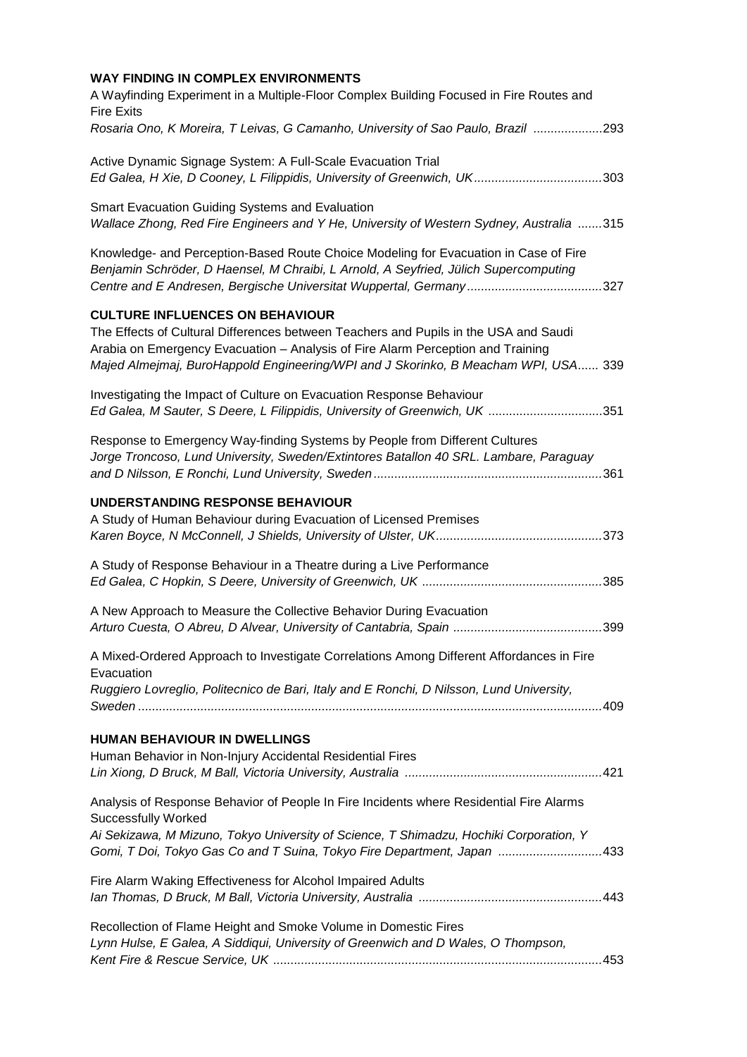## **WAY FINDING IN COMPLEX ENVIRONMENTS**

| A Wayfinding Experiment in a Multiple-Floor Complex Building Focused in Fire Routes and<br><b>Fire Exits</b>                                                                                                                                                                                            |
|---------------------------------------------------------------------------------------------------------------------------------------------------------------------------------------------------------------------------------------------------------------------------------------------------------|
| Rosaria Ono, K Moreira, T Leivas, G Camanho, University of Sao Paulo, Brazil 293                                                                                                                                                                                                                        |
| Active Dynamic Signage System: A Full-Scale Evacuation Trial<br>Ed Galea, H Xie, D Cooney, L Filippidis, University of Greenwich, UK303                                                                                                                                                                 |
| <b>Smart Evacuation Guiding Systems and Evaluation</b><br>Wallace Zhong, Red Fire Engineers and Y He, University of Western Sydney, Australia 315                                                                                                                                                       |
| Knowledge- and Perception-Based Route Choice Modeling for Evacuation in Case of Fire<br>Benjamin Schröder, D Haensel, M Chraibi, L Arnold, A Seyfried, Jülich Supercomputing<br>Centre and E Andresen, Bergische Universitat Wuppertal, Germany327                                                      |
| <b>CULTURE INFLUENCES ON BEHAVIOUR</b><br>The Effects of Cultural Differences between Teachers and Pupils in the USA and Saudi<br>Arabia on Emergency Evacuation - Analysis of Fire Alarm Perception and Training<br>Majed Almejmaj, BuroHappold Engineering/WPI and J Skorinko, B Meacham WPI, USA 339 |
| Investigating the Impact of Culture on Evacuation Response Behaviour<br>Ed Galea, M Sauter, S Deere, L Filippidis, University of Greenwich, UK 351                                                                                                                                                      |
| Response to Emergency Way-finding Systems by People from Different Cultures<br>Jorge Troncoso, Lund University, Sweden/Extintores Batallon 40 SRL. Lambare, Paraguay                                                                                                                                    |
| UNDERSTANDING RESPONSE BEHAVIOUR<br>A Study of Human Behaviour during Evacuation of Licensed Premises                                                                                                                                                                                                   |
| A Study of Response Behaviour in a Theatre during a Live Performance                                                                                                                                                                                                                                    |
| A New Approach to Measure the Collective Behavior During Evacuation                                                                                                                                                                                                                                     |
| A Mixed-Ordered Approach to Investigate Correlations Among Different Affordances in Fire<br>Evacuation                                                                                                                                                                                                  |
| Ruggiero Lovreglio, Politecnico de Bari, Italy and E Ronchi, D Nilsson, Lund University,                                                                                                                                                                                                                |
| <b>HUMAN BEHAVIOUR IN DWELLINGS</b><br>Human Behavior in Non-Injury Accidental Residential Fires                                                                                                                                                                                                        |
| Analysis of Response Behavior of People In Fire Incidents where Residential Fire Alarms<br><b>Successfully Worked</b><br>Ai Sekizawa, M Mizuno, Tokyo University of Science, T Shimadzu, Hochiki Corporation, Y                                                                                         |
| Gomi, T Doi, Tokyo Gas Co and T Suina, Tokyo Fire Department, Japan 433                                                                                                                                                                                                                                 |
| Fire Alarm Waking Effectiveness for Alcohol Impaired Adults                                                                                                                                                                                                                                             |
| Recollection of Flame Height and Smoke Volume in Domestic Fires<br>Lynn Hulse, E Galea, A Siddiqui, University of Greenwich and D Wales, O Thompson,                                                                                                                                                    |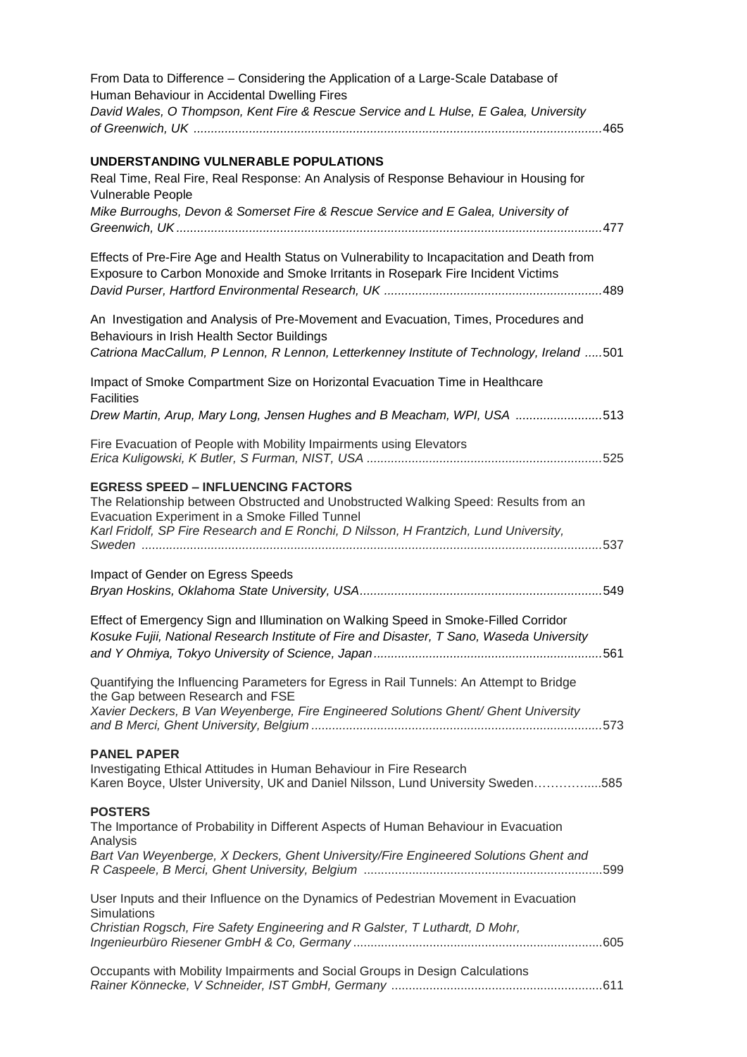| From Data to Difference - Considering the Application of a Large-Scale Database of<br>Human Behaviour in Accidental Dwelling Fires<br>David Wales, O Thompson, Kent Fire & Rescue Service and L Hulse, E Galea, University                                                  |
|-----------------------------------------------------------------------------------------------------------------------------------------------------------------------------------------------------------------------------------------------------------------------------|
| UNDERSTANDING VULNERABLE POPULATIONS<br>Real Time, Real Fire, Real Response: An Analysis of Response Behaviour in Housing for<br>Vulnerable People<br>Mike Burroughs, Devon & Somerset Fire & Rescue Service and E Galea, University of                                     |
| Effects of Pre-Fire Age and Health Status on Vulnerability to Incapacitation and Death from<br>Exposure to Carbon Monoxide and Smoke Irritants in Rosepark Fire Incident Victims                                                                                            |
| An Investigation and Analysis of Pre-Movement and Evacuation, Times, Procedures and<br>Behaviours in Irish Health Sector Buildings<br>Catriona MacCallum, P Lennon, R Lennon, Letterkenney Institute of Technology, Ireland 501                                             |
| Impact of Smoke Compartment Size on Horizontal Evacuation Time in Healthcare<br>Facilities<br>Drew Martin, Arup, Mary Long, Jensen Hughes and B Meacham, WPI, USA 513                                                                                                       |
| Fire Evacuation of People with Mobility Impairments using Elevators                                                                                                                                                                                                         |
| <b>EGRESS SPEED - INFLUENCING FACTORS</b><br>The Relationship between Obstructed and Unobstructed Walking Speed: Results from an<br>Evacuation Experiment in a Smoke Filled Tunnel<br>Karl Fridolf, SP Fire Research and E Ronchi, D Nilsson, H Frantzich, Lund University, |
| Impact of Gender on Egress Speeds                                                                                                                                                                                                                                           |
| Effect of Emergency Sign and Illumination on Walking Speed in Smoke-Filled Corridor<br>Kosuke Fujii, National Research Institute of Fire and Disaster, T Sano, Waseda University                                                                                            |
| Quantifying the Influencing Parameters for Egress in Rail Tunnels: An Attempt to Bridge<br>the Gap between Research and FSE<br>Xavier Deckers, B Van Weyenberge, Fire Engineered Solutions Ghent/ Ghent University                                                          |
| <b>PANEL PAPER</b><br>Investigating Ethical Attitudes in Human Behaviour in Fire Research<br>Karen Boyce, Ulster University, UK and Daniel Nilsson, Lund University Sweden585                                                                                               |
| <b>POSTERS</b><br>The Importance of Probability in Different Aspects of Human Behaviour in Evacuation<br>Analysis<br>Bart Van Weyenberge, X Deckers, Ghent University/Fire Engineered Solutions Ghent and                                                                   |
| User Inputs and their Influence on the Dynamics of Pedestrian Movement in Evacuation<br>Simulations<br>Christian Rogsch, Fire Safety Engineering and R Galster, T Luthardt, D Mohr,                                                                                         |
| Occupants with Mobility Impairments and Social Groups in Design Calculations                                                                                                                                                                                                |